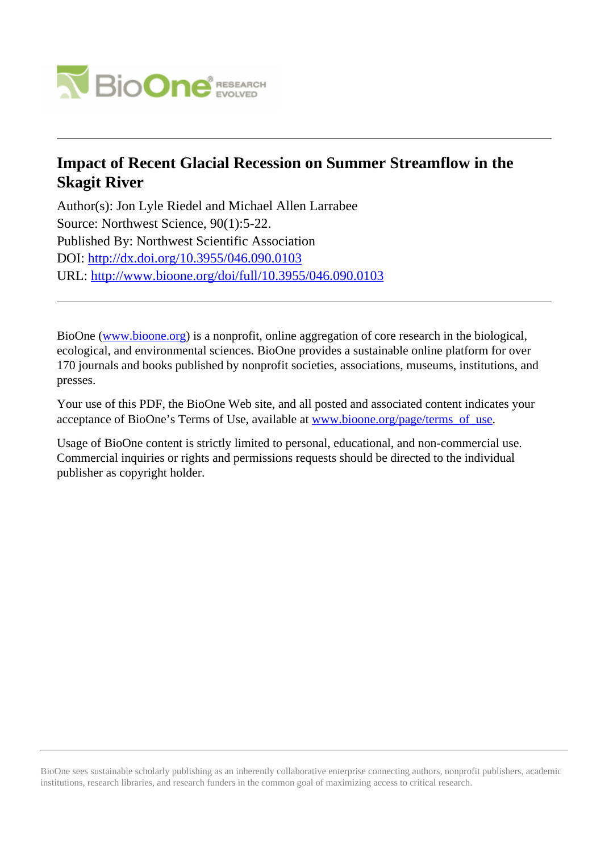

# **Impact of Recent Glacial Recession on Summer Streamflow in the Skagit River**

Author(s): Jon Lyle Riedel and Michael Allen Larrabee Source: Northwest Science, 90(1):5-22. Published By: Northwest Scientific Association DOI:<http://dx.doi.org/10.3955/046.090.0103> URL: <http://www.bioone.org/doi/full/10.3955/046.090.0103>

BioOne [\(www.bioone.org\)](http://www.bioone.org) is a nonprofit, online aggregation of core research in the biological, ecological, and environmental sciences. BioOne provides a sustainable online platform for over 170 journals and books published by nonprofit societies, associations, museums, institutions, and presses.

Your use of this PDF, the BioOne Web site, and all posted and associated content indicates your acceptance of BioOne's Terms of Use, available at [www.bioone.org/page/terms\\_of\\_use.](http://www.bioone.org/page/terms_of_use)

Usage of BioOne content is strictly limited to personal, educational, and non-commercial use. Commercial inquiries or rights and permissions requests should be directed to the individual publisher as copyright holder.

BioOne sees sustainable scholarly publishing as an inherently collaborative enterprise connecting authors, nonprofit publishers, academic institutions, research libraries, and research funders in the common goal of maximizing access to critical research.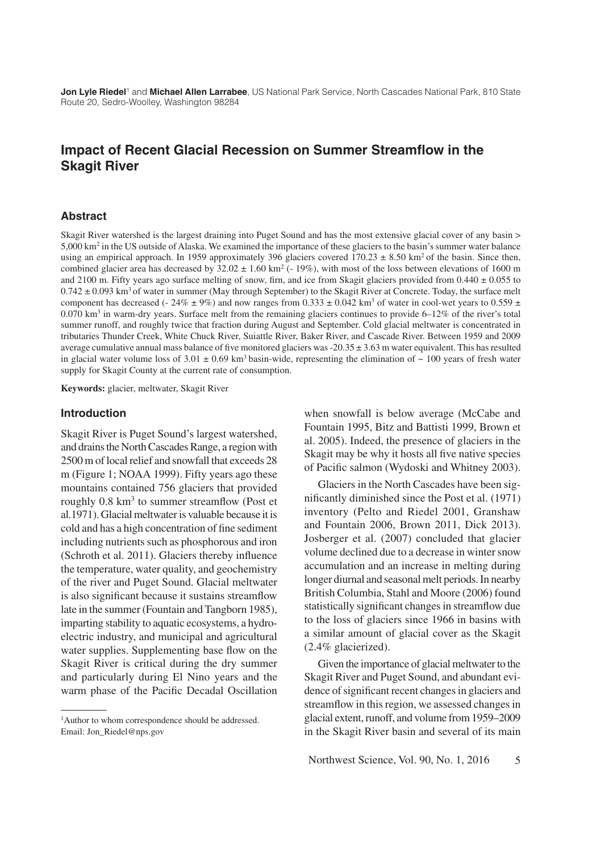**Jon Lyle Riedel**1 and **Michael Allen Larrabee**, US National Park Service, North Cascades National Park, 810 State Route 20, Sedro-Woolley, Washington 98284

# **Impact of Recent Glacial Recession on Summer Streamflow in the Skagit River**

#### **Abstract**

Skagit River watershed is the largest draining into Puget Sound and has the most extensive glacial cover of any basin > 5,000 km2 in the US outside of Alaska. We examined the importance of these glaciers to the basin's summer water balance using an empirical approach. In 1959 approximately 396 glaciers covered  $170.23 \pm 8.50$  km<sup>2</sup> of the basin. Since then, combined glacier area has decreased by  $32.02 \pm 1.60$  km<sup>2</sup> (- 19%), with most of the loss between elevations of 1600 m and 2100 m. Fifty years ago surface melting of snow, firn, and ice from Skagit glaciers provided from  $0.440 \pm 0.055$  to  $0.742 \pm 0.093$  km<sup>3</sup> of water in summer (May through September) to the Skagit River at Concrete. Today, the surface melt component has decreased (-  $24\% \pm 9\%$ ) and now ranges from 0.333  $\pm$  0.042 km<sup>3</sup> of water in cool-wet years to 0.559  $\pm$  $0.070$  km<sup>3</sup> in warm-dry years. Surface melt from the remaining glaciers continues to provide 6–12% of the river's total summer runoff, and roughly twice that fraction during August and September. Cold glacial meltwater is concentrated in tributaries Thunder Creek, White Chuck River, Suiattle River, Baker River, and Cascade River. Between 1959 and 2009 average cumulative annual mass balance of five monitored glaciers was  $-20.35 \pm 3.63$  m water equivalent. This has resulted in glacial water volume loss of  $3.01 \pm 0.69$  km<sup>3</sup> basin-wide, representing the elimination of  $\sim 100$  years of fresh water supply for Skagit County at the current rate of consumption.

**Keywords:** glacier, meltwater, Skagit River

#### **Introduction**

Skagit River is Puget Sound's largest watershed, and drains the North Cascades Range, a region with 2500 m of local relief and snowfall that exceeds 28 m (Figure 1; NOAA 1999). Fifty years ago these mountains contained 756 glaciers that provided roughly  $0.8 \text{ km}^3$  to summer streamflow (Post et al.1971). Glacial meltwater is valuable because it is cold and has a high concentration of fine sediment including nutrients such as phosphorous and iron (Schroth et al. 2011). Glaciers thereby influence the temperature, water quality, and geochemistry of the river and Puget Sound. Glacial meltwater is also significant because it sustains streamflow late in the summer (Fountain and Tangborn 1985), imparting stability to aquatic ecosystems, a hydroelectric industry, and municipal and agricultural water supplies. Supplementing base flow on the Skagit River is critical during the dry summer and particularly during El Nino years and the warm phase of the Pacific Decadal Oscillation

<sup>1</sup>Author to whom correspondence should be addressed. Email: Jon\_Riedel@nps.gov

when snowfall is below average (McCabe and Fountain 1995, Bitz and Battisti 1999, Brown et al. 2005). Indeed, the presence of glaciers in the Skagit may be why it hosts all five native species of Pacific salmon (Wydoski and Whitney 2003).

Glaciers in the North Cascades have been significantly diminished since the Post et al. (1971) inventory (Pelto and Riedel 2001, Granshaw and Fountain 2006, Brown 2011, Dick 2013). Josberger et al. (2007) concluded that glacier volume declined due to a decrease in winter snow accumulation and an increase in melting during longer diurnal and seasonal melt periods. In nearby British Columbia, Stahl and Moore (2006) found statistically significant changes in streamflow due to the loss of glaciers since 1966 in basins with a similar amount of glacial cover as the Skagit (2.4% glacierized).

Given the importance of glacial meltwater to the Skagit River and Puget Sound, and abundant evidence of significant recent changes in glaciers and streamflow in this region, we assessed changes in glacial extent, runoff, and volume from 1959–2009 in the Skagit River basin and several of its main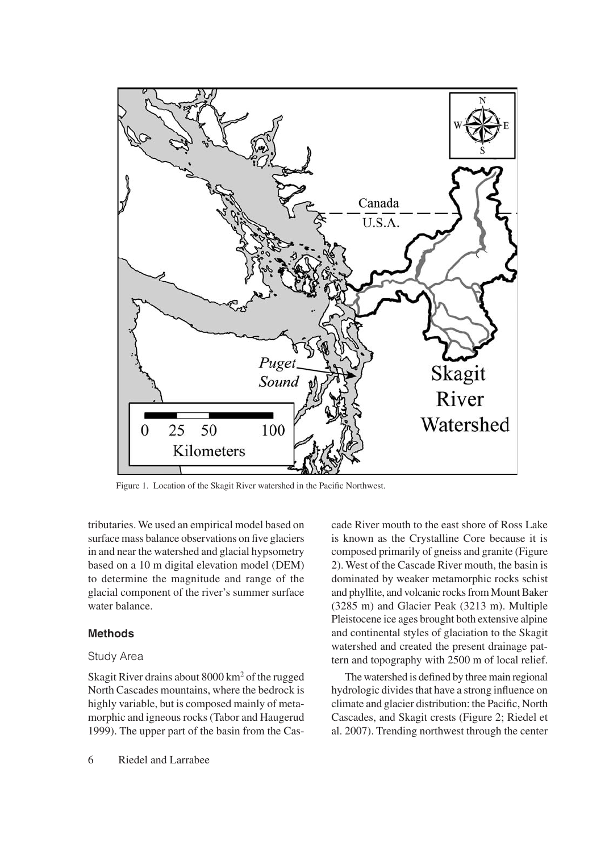

Figure 1. Location of the Skagit River watershed in the Pacific Northwest.

tributaries. We used an empirical model based on surface mass balance observations on five glaciers in and near the watershed and glacial hypsometry based on a 10 m digital elevation model (DEM) to determine the magnitude and range of the glacial component of the river's summer surface water balance.

#### **Methods**

#### Study Area

Skagit River drains about 8000 km2 of the rugged North Cascades mountains, where the bedrock is highly variable, but is composed mainly of metamorphic and igneous rocks (Tabor and Haugerud 1999). The upper part of the basin from the Cascade River mouth to the east shore of Ross Lake is known as the Crystalline Core because it is composed primarily of gneiss and granite (Figure 2). West of the Cascade River mouth, the basin is dominated by weaker metamorphic rocks schist and phyllite, and volcanic rocks from Mount Baker (3285 m) and Glacier Peak (3213 m). Multiple Pleistocene ice ages brought both extensive alpine and continental styles of glaciation to the Skagit watershed and created the present drainage pattern and topography with 2500 m of local relief.

The watershed is defined by three main regional hydrologic divides that have a strong influence on climate and glacier distribution: the Pacific, North Cascades, and Skagit crests (Figure 2; Riedel et al. 2007). Trending northwest through the center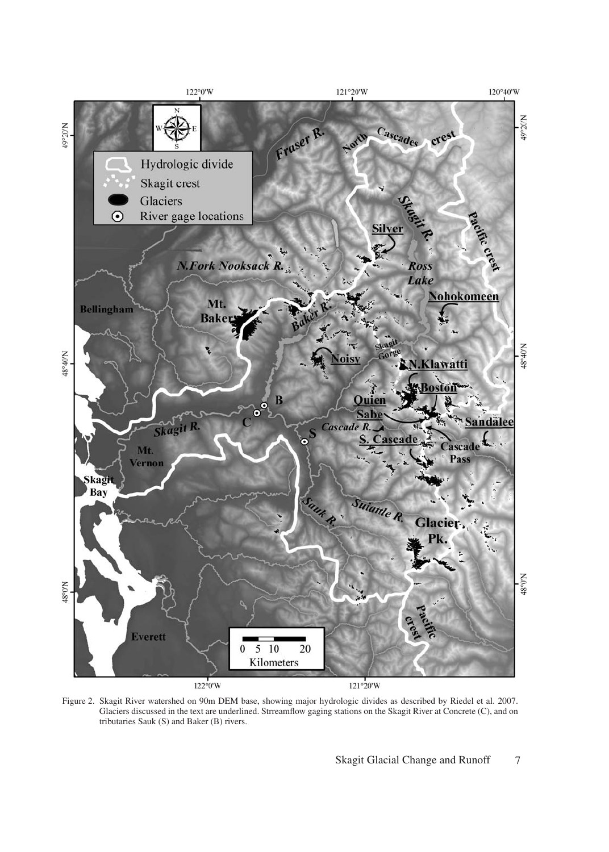

Figure 2. Skagit River watershed on 90m DEM base, showing major hydrologic divides as described by Riedel et al. 2007. Glaciers discussed in the text are underlined. Strreamflow gaging stations on the Skagit River at Concrete (C), and on tributaries Sauk (S) and Baker (B) rivers.

Skagit Glacial Change and Runoff 7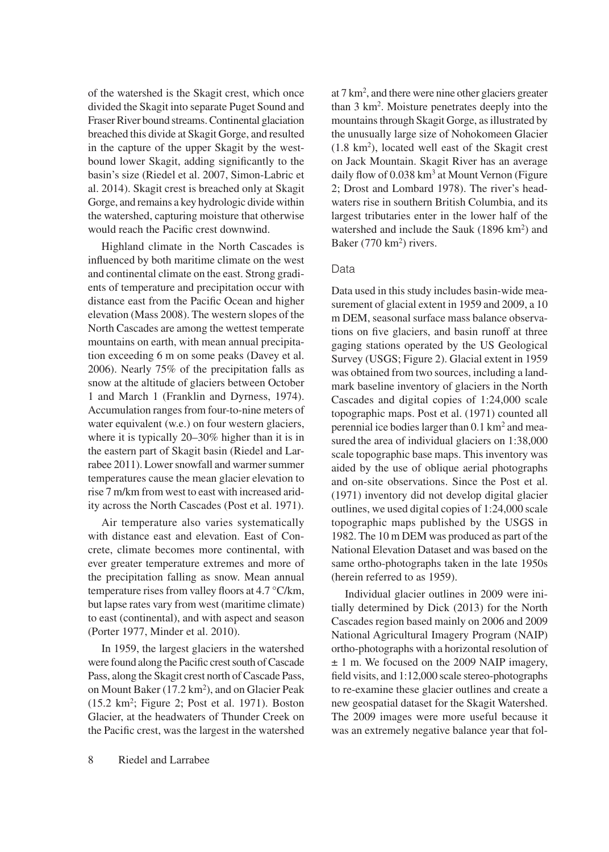of the watershed is the Skagit crest, which once divided the Skagit into separate Puget Sound and Fraser River bound streams. Continental glaciation breached this divide at Skagit Gorge, and resulted in the capture of the upper Skagit by the westbound lower Skagit, adding significantly to the basin's size (Riedel et al. 2007, Simon-Labric et al. 2014). Skagit crest is breached only at Skagit Gorge, and remains a key hydrologic divide within the watershed, capturing moisture that otherwise would reach the Pacific crest downwind.

Highland climate in the North Cascades is influenced by both maritime climate on the west and continental climate on the east. Strong gradients of temperature and precipitation occur with distance east from the Pacific Ocean and higher elevation (Mass 2008). The western slopes of the North Cascades are among the wettest temperate mountains on earth, with mean annual precipitation exceeding 6 m on some peaks (Davey et al. 2006). Nearly 75% of the precipitation falls as snow at the altitude of glaciers between October 1 and March 1 (Franklin and Dyrness, 1974). Accumulation ranges from four-to-nine meters of water equivalent (w.e.) on four western glaciers, where it is typically 20–30% higher than it is in the eastern part of Skagit basin (Riedel and Larrabee 2011). Lower snowfall and warmer summer temperatures cause the mean glacier elevation to rise 7 m/km from west to east with increased aridity across the North Cascades (Post et al. 1971).

Air temperature also varies systematically with distance east and elevation. East of Concrete, climate becomes more continental, with ever greater temperature extremes and more of the precipitation falling as snow. Mean annual temperature rises from valley floors at 4.7 °C/km, but lapse rates vary from west (maritime climate) to east (continental), and with aspect and season (Porter 1977, Minder et al. 2010).

In 1959, the largest glaciers in the watershed were found along the Pacific crest south of Cascade Pass, along the Skagit crest north of Cascade Pass, on Mount Baker (17.2 km2), and on Glacier Peak (15.2 km2; Figure 2; Post et al. 1971). Boston Glacier, at the headwaters of Thunder Creek on the Pacific crest, was the largest in the watershed

at 7 km2 , and there were nine other glaciers greater than 3 km2. Moisture penetrates deeply into the mountains through Skagit Gorge, as illustrated by the unusually large size of Nohokomeen Glacier  $(1.8 \text{ km}^2)$ , located well east of the Skagit crest on Jack Mountain. Skagit River has an average daily flow of 0.038 km<sup>3</sup> at Mount Vernon (Figure 2; Drost and Lombard 1978). The river's headwaters rise in southern British Columbia, and its largest tributaries enter in the lower half of the watershed and include the Sauk (1896 km<sup>2</sup>) and Baker (770 km<sup>2</sup>) rivers.

# Data

Data used in this study includes basin-wide measurement of glacial extent in 1959 and 2009, a 10 m DEM, seasonal surface mass balance observations on five glaciers, and basin runoff at three gaging stations operated by the US Geological Survey (USGS; Figure 2). Glacial extent in 1959 was obtained from two sources, including a landmark baseline inventory of glaciers in the North Cascades and digital copies of 1:24,000 scale topographic maps. Post et al. (1971) counted all perennial ice bodies larger than 0.1 km2 and measured the area of individual glaciers on 1:38,000 scale topographic base maps. This inventory was aided by the use of oblique aerial photographs and on-site observations. Since the Post et al. (1971) inventory did not develop digital glacier outlines, we used digital copies of 1:24,000 scale topographic maps published by the USGS in 1982. The 10 m DEM was produced as part of the National Elevation Dataset and was based on the same ortho-photographs taken in the late 1950s (herein referred to as 1959).

Individual glacier outlines in 2009 were initially determined by Dick (2013) for the North Cascades region based mainly on 2006 and 2009 National Agricultural Imagery Program (NAIP) ortho-photographs with a horizontal resolution of ± 1 m. We focused on the 2009 NAIP imagery, field visits, and 1:12,000 scale stereo-photographs to re-examine these glacier outlines and create a new geospatial dataset for the Skagit Watershed. The 2009 images were more useful because it was an extremely negative balance year that fol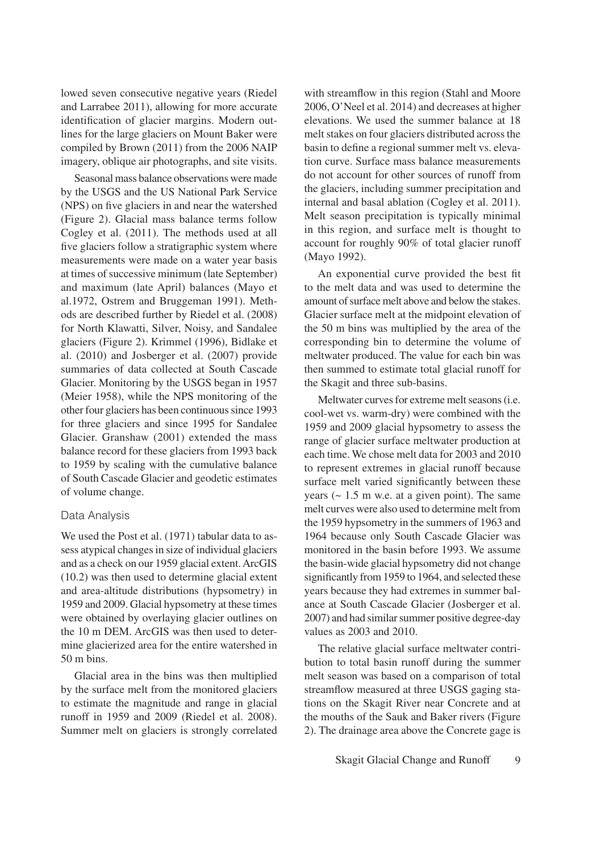lowed seven consecutive negative years (Riedel and Larrabee 2011), allowing for more accurate identification of glacier margins. Modern outlines for the large glaciers on Mount Baker were compiled by Brown (2011) from the 2006 NAIP imagery, oblique air photographs, and site visits.

Seasonal mass balance observations were made by the USGS and the US National Park Service (NPS) on five glaciers in and near the watershed (Figure 2). Glacial mass balance terms follow Cogley et al. (2011). The methods used at all five glaciers follow a stratigraphic system where measurements were made on a water year basis at times of successive minimum (late September) and maximum (late April) balances (Mayo et al.1972, Ostrem and Bruggeman 1991). Methods are described further by Riedel et al. (2008) for North Klawatti, Silver, Noisy, and Sandalee glaciers (Figure 2). Krimmel (1996), Bidlake et al. (2010) and Josberger et al. (2007) provide summaries of data collected at South Cascade Glacier. Monitoring by the USGS began in 1957 (Meier 1958), while the NPS monitoring of the other four glaciers has been continuous since 1993 for three glaciers and since 1995 for Sandalee Glacier. Granshaw (2001) extended the mass balance record for these glaciers from 1993 back to 1959 by scaling with the cumulative balance of South Cascade Glacier and geodetic estimates of volume change.

# Data Analysis

We used the Post et al. (1971) tabular data to assess atypical changes in size of individual glaciers and as a check on our 1959 glacial extent. ArcGIS (10.2) was then used to determine glacial extent and area-altitude distributions (hypsometry) in 1959 and 2009. Glacial hypsometry at these times were obtained by overlaying glacier outlines on the 10 m DEM. ArcGIS was then used to determine glacierized area for the entire watershed in 50 m bins.

Glacial area in the bins was then multiplied by the surface melt from the monitored glaciers to estimate the magnitude and range in glacial runoff in 1959 and 2009 (Riedel et al. 2008). Summer melt on glaciers is strongly correlated

with streamflow in this region (Stahl and Moore 2006, O'Neel et al. 2014) and decreases at higher elevations. We used the summer balance at 18 melt stakes on four glaciers distributed across the basin to define a regional summer melt vs. elevation curve. Surface mass balance measurements do not account for other sources of runoff from the glaciers, including summer precipitation and internal and basal ablation (Cogley et al. 2011). Melt season precipitation is typically minimal in this region, and surface melt is thought to account for roughly 90% of total glacier runoff (Mayo 1992).

An exponential curve provided the best fit to the melt data and was used to determine the amount of surface melt above and below the stakes. Glacier surface melt at the midpoint elevation of the 50 m bins was multiplied by the area of the corresponding bin to determine the volume of meltwater produced. The value for each bin was then summed to estimate total glacial runoff for the Skagit and three sub-basins.

Meltwater curves for extreme melt seasons (i.e. cool-wet vs. warm-dry) were combined with the 1959 and 2009 glacial hypsometry to assess the range of glacier surface meltwater production at each time. We chose melt data for 2003 and 2010 to represent extremes in glacial runoff because surface melt varied significantly between these years  $($   $\sim$  1.5 m w.e. at a given point). The same melt curves were also used to determine melt from the 1959 hypsometry in the summers of 1963 and 1964 because only South Cascade Glacier was monitored in the basin before 1993. We assume the basin-wide glacial hypsometry did not change significantly from 1959 to 1964, and selected these years because they had extremes in summer balance at South Cascade Glacier (Josberger et al. 2007) and had similar summer positive degree-day values as 2003 and 2010.

The relative glacial surface meltwater contribution to total basin runoff during the summer melt season was based on a comparison of total streamflow measured at three USGS gaging stations on the Skagit River near Concrete and at the mouths of the Sauk and Baker rivers (Figure 2). The drainage area above the Concrete gage is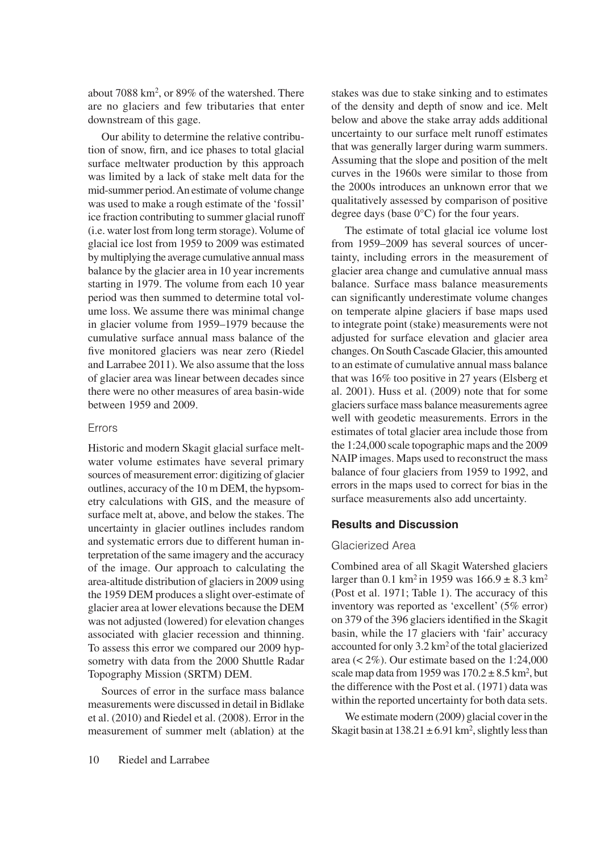about 7088 km2, or 89% of the watershed. There are no glaciers and few tributaries that enter downstream of this gage.

Our ability to determine the relative contribution of snow, firn, and ice phases to total glacial surface meltwater production by this approach was limited by a lack of stake melt data for the mid-summer period. An estimate of volume change was used to make a rough estimate of the 'fossil' ice fraction contributing to summer glacial runoff (i.e. water lost from long term storage). Volume of glacial ice lost from 1959 to 2009 was estimated by multiplying the average cumulative annual mass balance by the glacier area in 10 year increments starting in 1979. The volume from each 10 year period was then summed to determine total volume loss. We assume there was minimal change in glacier volume from 1959–1979 because the cumulative surface annual mass balance of the five monitored glaciers was near zero (Riedel and Larrabee 2011). We also assume that the loss of glacier area was linear between decades since there were no other measures of area basin-wide between 1959 and 2009.

### Errors

Historic and modern Skagit glacial surface meltwater volume estimates have several primary sources of measurement error: digitizing of glacier outlines, accuracy of the 10 m DEM, the hypsometry calculations with GIS, and the measure of surface melt at, above, and below the stakes. The uncertainty in glacier outlines includes random and systematic errors due to different human interpretation of the same imagery and the accuracy of the image. Our approach to calculating the area-altitude distribution of glaciers in 2009 using the 1959 DEM produces a slight over-estimate of glacier area at lower elevations because the DEM was not adjusted (lowered) for elevation changes associated with glacier recession and thinning. To assess this error we compared our 2009 hypsometry with data from the 2000 Shuttle Radar Topography Mission (SRTM) DEM.

Sources of error in the surface mass balance measurements were discussed in detail in Bidlake et al. (2010) and Riedel et al. (2008). Error in the measurement of summer melt (ablation) at the

stakes was due to stake sinking and to estimates of the density and depth of snow and ice. Melt below and above the stake array adds additional uncertainty to our surface melt runoff estimates that was generally larger during warm summers. Assuming that the slope and position of the melt curves in the 1960s were similar to those from the 2000s introduces an unknown error that we qualitatively assessed by comparison of positive degree days (base 0°C) for the four years.

The estimate of total glacial ice volume lost from 1959–2009 has several sources of uncertainty, including errors in the measurement of glacier area change and cumulative annual mass balance. Surface mass balance measurements can significantly underestimate volume changes on temperate alpine glaciers if base maps used to integrate point (stake) measurements were not adjusted for surface elevation and glacier area changes. On South Cascade Glacier, this amounted to an estimate of cumulative annual mass balance that was 16% too positive in 27 years (Elsberg et al. 2001). Huss et al. (2009) note that for some glaciers surface mass balance measurements agree well with geodetic measurements. Errors in the estimates of total glacier area include those from the 1:24,000 scale topographic maps and the 2009 NAIP images. Maps used to reconstruct the mass balance of four glaciers from 1959 to 1992, and errors in the maps used to correct for bias in the surface measurements also add uncertainty.

# **Results and Discussion**

# Glacierized Area

Combined area of all Skagit Watershed glaciers larger than 0.1 km<sup>2</sup> in 1959 was  $166.9 \pm 8.3$  km<sup>2</sup> (Post et al. 1971; Table 1). The accuracy of this inventory was reported as 'excellent' (5% error) on 379 of the 396 glaciers identified in the Skagit basin, while the 17 glaciers with 'fair' accuracy accounted for only 3.2 km2 of the total glacierized area (< 2%). Our estimate based on the 1:24,000 scale map data from 1959 was  $170.2 \pm 8.5$  km<sup>2</sup>, but the difference with the Post et al. (1971) data was within the reported uncertainty for both data sets.

We estimate modern (2009) glacial cover in the Skagit basin at  $138.21 \pm 6.91$  km<sup>2</sup>, slightly less than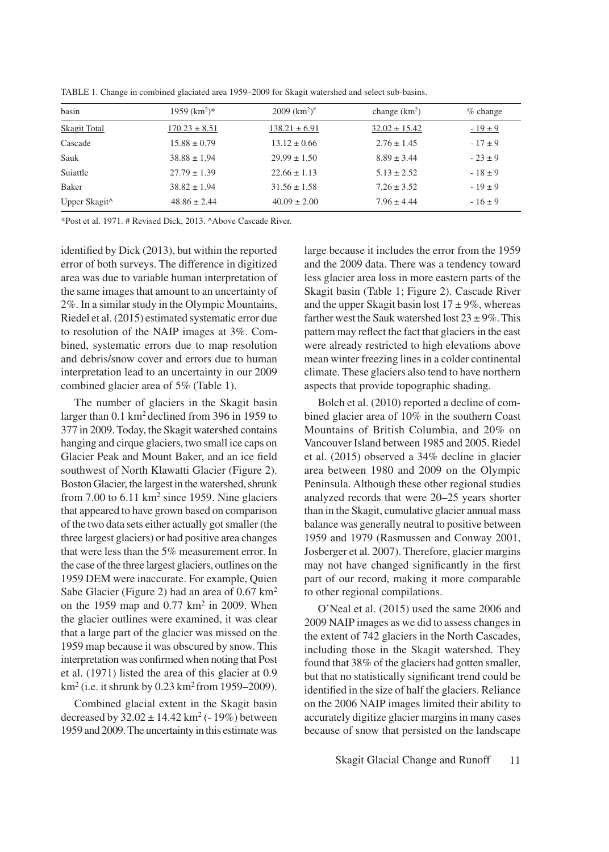|  | TABLE 1. Change in combined glaciated area 1959–2009 for Skagit watershed and select sub-basins. |  |  |  |
|--|--------------------------------------------------------------------------------------------------|--|--|--|
|  |                                                                                                  |  |  |  |

| basin                     | $1959$ (km <sup>2</sup> )* | $2009$ (km <sup>2</sup> ) <sup>#</sup> | change $(km2)$    | $%$ change  |
|---------------------------|----------------------------|----------------------------------------|-------------------|-------------|
| Skagit Total              | $170.23 \pm 8.51$          | $138.21 \pm 6.91$                      | $32.02 \pm 15.42$ | $-19 \pm 9$ |
| Cascade                   | $15.88 \pm 0.79$           | $13.12 \pm 0.66$                       | $2.76 \pm 1.45$   | $-17 \pm 9$ |
| Sauk                      | $38.88 \pm 1.94$           | $29.99 \pm 1.50$                       | $8.89 \pm 3.44$   | $-23 \pm 9$ |
| Suiattle                  | $27.79 \pm 1.39$           | $22.66 \pm 1.13$                       | $5.13 \pm 2.52$   | $-18 \pm 9$ |
| Baker                     | $38.82 \pm 1.94$           | $31.56 \pm 1.58$                       | $7.26 \pm 3.52$   | $-19 \pm 9$ |
| Upper Skagit <sup>^</sup> | $48.86 \pm 2.44$           | $40.09 \pm 2.00$                       | $7.96 \pm 4.44$   | $-16 \pm 9$ |

\*Post et al. 1971. # Revised Dick, 2013. ^Above Cascade River.

identified by Dick (2013), but within the reported error of both surveys. The difference in digitized area was due to variable human interpretation of the same images that amount to an uncertainty of 2%. In a similar study in the Olympic Mountains, Riedel et al. (2015) estimated systematic error due to resolution of the NAIP images at 3%. Combined, systematic errors due to map resolution and debris/snow cover and errors due to human interpretation lead to an uncertainty in our 2009 combined glacier area of 5% (Table 1).

The number of glaciers in the Skagit basin larger than 0.1 km2 declined from 396 in 1959 to 377 in 2009. Today, the Skagit watershed contains hanging and cirque glaciers, two small ice caps on Glacier Peak and Mount Baker, and an ice field southwest of North Klawatti Glacier (Figure 2). Boston Glacier, the largest in the watershed, shrunk from 7.00 to  $6.11 \text{ km}^2$  since 1959. Nine glaciers that appeared to have grown based on comparison of the two data sets either actually got smaller (the three largest glaciers) or had positive area changes that were less than the 5% measurement error. In the case of the three largest glaciers, outlines on the 1959 DEM were inaccurate. For example, Quien Sabe Glacier (Figure 2) had an area of 0.67 km<sup>2</sup> on the 1959 map and  $0.77 \text{ km}^2$  in 2009. When the glacier outlines were examined, it was clear that a large part of the glacier was missed on the 1959 map because it was obscured by snow. This interpretation was confirmed when noting that Post et al. (1971) listed the area of this glacier at 0.9  $km^2$  (i.e. it shrunk by 0.23 km<sup>2</sup> from 1959–2009).

Combined glacial extent in the Skagit basin decreased by  $32.02 \pm 14.42 \text{ km}^2$  (- 19%) between 1959 and 2009. The uncertainty in this estimate was

large because it includes the error from the 1959 and the 2009 data. There was a tendency toward less glacier area loss in more eastern parts of the Skagit basin (Table 1; Figure 2). Cascade River and the upper Skagit basin lost  $17 \pm 9\%$ , whereas farther west the Sauk watershed lost  $23 \pm 9\%$ . This pattern may reflect the fact that glaciers in the east were already restricted to high elevations above mean winter freezing lines in a colder continental climate. These glaciers also tend to have northern aspects that provide topographic shading.

Bolch et al. (2010) reported a decline of combined glacier area of 10% in the southern Coast Mountains of British Columbia, and 20% on Vancouver Island between 1985 and 2005. Riedel et al. (2015) observed a 34% decline in glacier area between 1980 and 2009 on the Olympic Peninsula. Although these other regional studies analyzed records that were 20–25 years shorter than in the Skagit, cumulative glacier annual mass balance was generally neutral to positive between 1959 and 1979 (Rasmussen and Conway 2001, Josberger et al. 2007). Therefore, glacier margins may not have changed significantly in the first part of our record, making it more comparable to other regional compilations.

O'Neal et al. (2015) used the same 2006 and 2009 NAIP images as we did to assess changes in the extent of 742 glaciers in the North Cascades, including those in the Skagit watershed. They found that 38% of the glaciers had gotten smaller, but that no statistically significant trend could be identified in the size of half the glaciers. Reliance on the 2006 NAIP images limited their ability to accurately digitize glacier margins in many cases because of snow that persisted on the landscape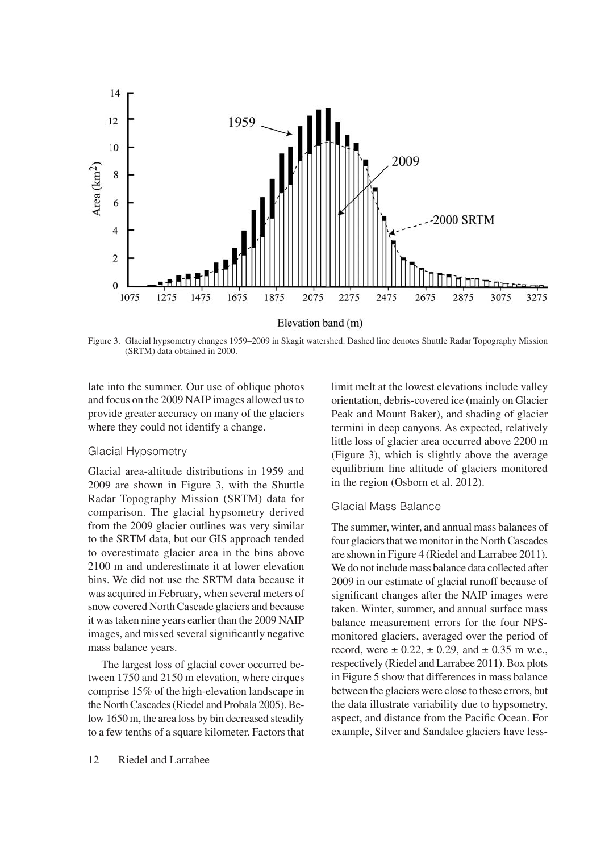

Figure 3. Glacial hypsometry changes 1959–2009 in Skagit watershed. Dashed line denotes Shuttle Radar Topography Mission (SRTM) data obtained in 2000.

late into the summer. Our use of oblique photos and focus on the 2009 NAIP images allowed us to provide greater accuracy on many of the glaciers where they could not identify a change.

#### Glacial Hypsometry

Glacial area-altitude distributions in 1959 and 2009 are shown in Figure 3, with the Shuttle Radar Topography Mission (SRTM) data for comparison. The glacial hypsometry derived from the 2009 glacier outlines was very similar to the SRTM data, but our GIS approach tended to overestimate glacier area in the bins above 2100 m and underestimate it at lower elevation bins. We did not use the SRTM data because it was acquired in February, when several meters of snow covered North Cascade glaciers and because it was taken nine years earlier than the 2009 NAIP images, and missed several significantly negative mass balance years.

The largest loss of glacial cover occurred between 1750 and 2150 m elevation, where cirques comprise 15% of the high-elevation landscape in the North Cascades (Riedel and Probala 2005). Below 1650 m, the area loss by bin decreased steadily to a few tenths of a square kilometer. Factors that limit melt at the lowest elevations include valley orientation, debris-covered ice (mainly on Glacier Peak and Mount Baker), and shading of glacier termini in deep canyons. As expected, relatively little loss of glacier area occurred above 2200 m (Figure 3), which is slightly above the average equilibrium line altitude of glaciers monitored in the region (Osborn et al. 2012).

# Glacial Mass Balance

The summer, winter, and annual mass balances of four glaciers that we monitor in the North Cascades are shown in Figure 4 (Riedel and Larrabee 2011). We do not include mass balance data collected after 2009 in our estimate of glacial runoff because of significant changes after the NAIP images were taken. Winter, summer, and annual surface mass balance measurement errors for the four NPSmonitored glaciers, averaged over the period of record, were  $\pm 0.22$ ,  $\pm 0.29$ , and  $\pm 0.35$  m w.e., respectively (Riedel and Larrabee 2011). Box plots in Figure 5 show that differences in mass balance between the glaciers were close to these errors, but the data illustrate variability due to hypsometry, aspect, and distance from the Pacific Ocean. For example, Silver and Sandalee glaciers have less-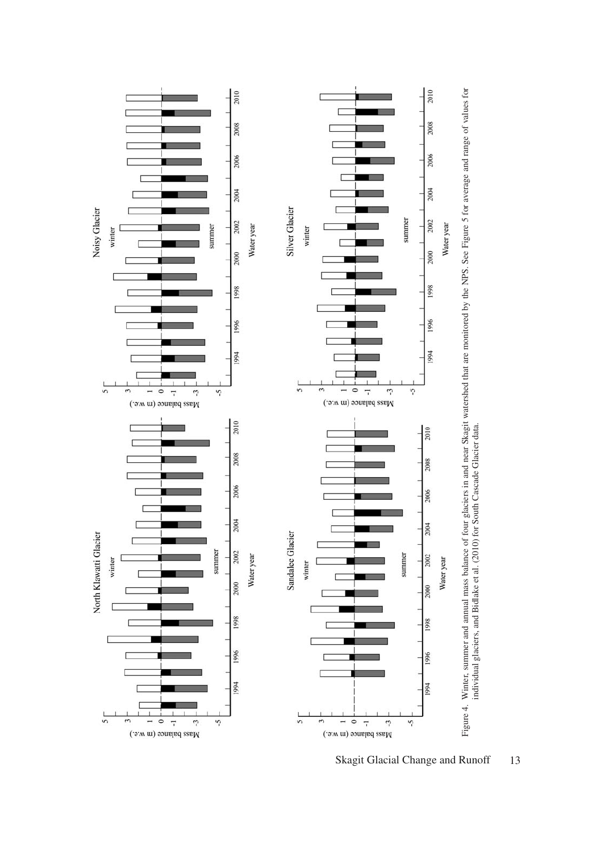

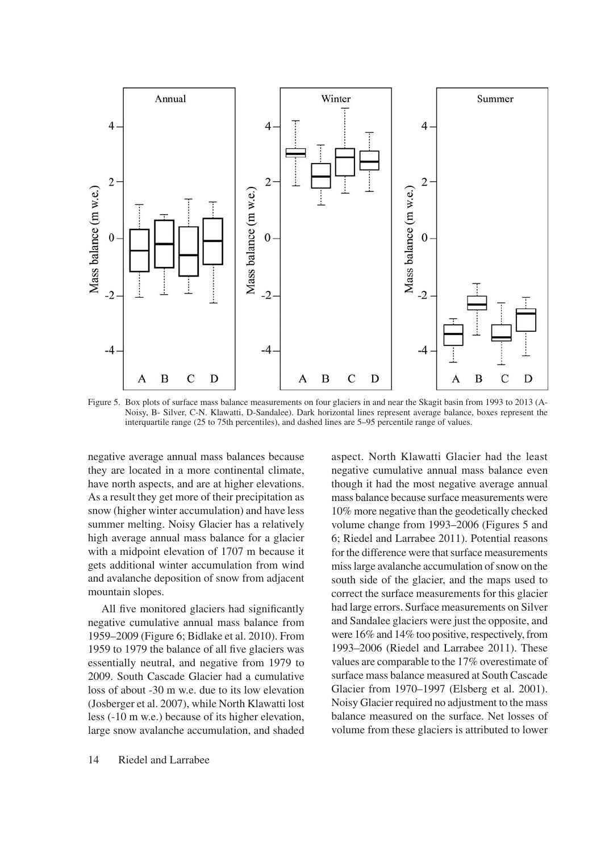

Figure 5. Box plots of surface mass balance measurements on four glaciers in and near the Skagit basin from 1993 to 2013 (A-Noisy, B- Silver, C-N. Klawatti, D-Sandalee). Dark horizontal lines represent average balance, boxes represent the interquartile range (25 to 75th percentiles), and dashed lines are 5–95 percentile range of values.

negative average annual mass balances because they are located in a more continental climate, have north aspects, and are at higher elevations. As a result they get more of their precipitation as snow (higher winter accumulation) and have less summer melting. Noisy Glacier has a relatively high average annual mass balance for a glacier with a midpoint elevation of 1707 m because it gets additional winter accumulation from wind and avalanche deposition of snow from adjacent mountain slopes.

All five monitored glaciers had significantly negative cumulative annual mass balance from 1959–2009 (Figure 6; Bidlake et al. 2010). From 1959 to 1979 the balance of all five glaciers was essentially neutral, and negative from 1979 to 2009. South Cascade Glacier had a cumulative loss of about -30 m w.e. due to its low elevation (Josberger et al. 2007), while North Klawatti lost less (-10 m w.e.) because of its higher elevation, large snow avalanche accumulation, and shaded

aspect. North Klawatti Glacier had the least negative cumulative annual mass balance even though it had the most negative average annual mass balance because surface measurements were 10% more negative than the geodetically checked volume change from 1993–2006 (Figures 5 and 6; Riedel and Larrabee 2011). Potential reasons for the difference were that surface measurements miss large avalanche accumulation of snow on the south side of the glacier, and the maps used to correct the surface measurements for this glacier had large errors. Surface measurements on Silver and Sandalee glaciers were just the opposite, and were 16% and 14% too positive, respectively, from 1993–2006 (Riedel and Larrabee 2011). These values are comparable to the 17% overestimate of surface mass balance measured at South Cascade Glacier from 1970–1997 (Elsberg et al. 2001). Noisy Glacier required no adjustment to the mass balance measured on the surface. Net losses of volume from these glaciers is attributed to lower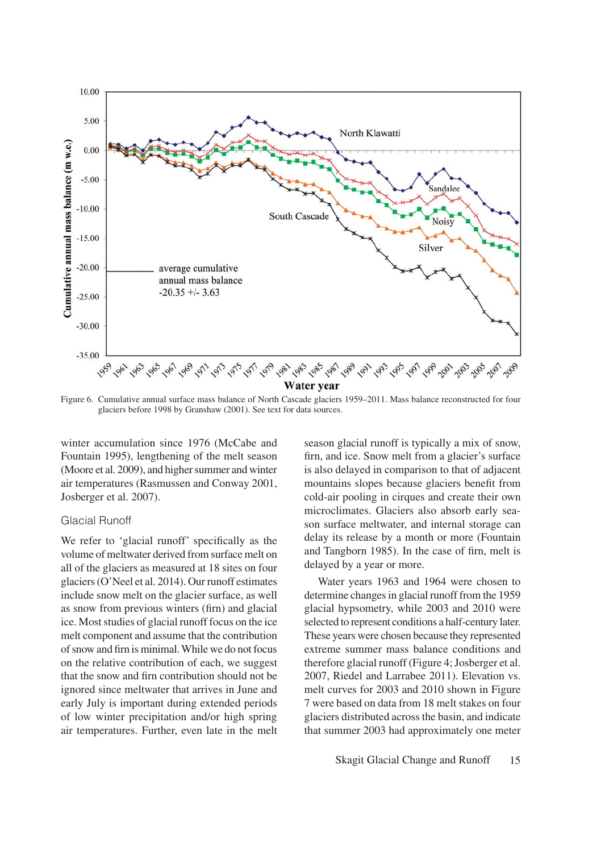

Figure 6. Cumulative annual surface mass balance of North Cascade glaciers 1959–2011. Mass balance reconstructed for four glaciers before 1998 by Granshaw (2001). See text for data sources.

winter accumulation since 1976 (McCabe and Fountain 1995), lengthening of the melt season (Moore et al. 2009), and higher summer and winter air temperatures (Rasmussen and Conway 2001, Josberger et al. 2007).

### Glacial Runoff

We refer to 'glacial runoff' specifically as the volume of meltwater derived from surface melt on all of the glaciers as measured at 18 sites on four glaciers (O'Neel et al. 2014). Our runoff estimates include snow melt on the glacier surface, as well as snow from previous winters (firn) and glacial ice. Most studies of glacial runoff focus on the ice melt component and assume that the contribution of snow and firn is minimal. While we do not focus on the relative contribution of each, we suggest that the snow and firn contribution should not be ignored since meltwater that arrives in June and early July is important during extended periods of low winter precipitation and/or high spring air temperatures. Further, even late in the melt

season glacial runoff is typically a mix of snow, firn, and ice. Snow melt from a glacier's surface is also delayed in comparison to that of adjacent mountains slopes because glaciers benefit from cold-air pooling in cirques and create their own microclimates. Glaciers also absorb early season surface meltwater, and internal storage can delay its release by a month or more (Fountain and Tangborn 1985). In the case of firn, melt is delayed by a year or more.

Water years 1963 and 1964 were chosen to determine changes in glacial runoff from the 1959 glacial hypsometry, while 2003 and 2010 were selected to represent conditions a half-century later. These years were chosen because they represented extreme summer mass balance conditions and therefore glacial runoff (Figure 4; Josberger et al. 2007, Riedel and Larrabee 2011). Elevation vs. melt curves for 2003 and 2010 shown in Figure 7 were based on data from 18 melt stakes on four glaciers distributed across the basin, and indicate that summer 2003 had approximately one meter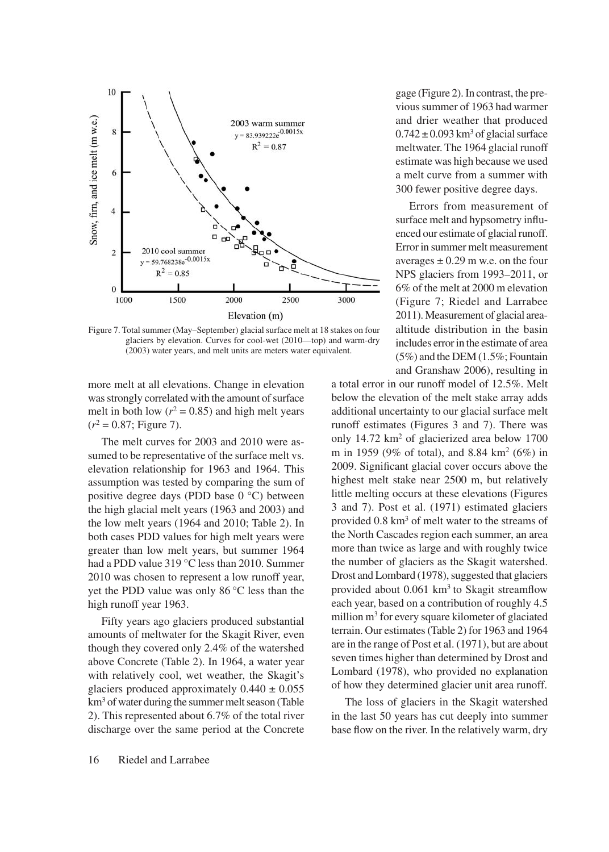

Figure 7. Total summer (May–September) glacial surface melt at 18 stakes on four glaciers by elevation. Curves for cool-wet (2010—top) and warm-dry (2003) water years, and melt units are meters water equivalent.

more melt at all elevations. Change in elevation was strongly correlated with the amount of surface melt in both low ( $r^2$  = 0.85) and high melt years  $(r^2 = 0.87;$  Figure 7).

The melt curves for 2003 and 2010 were assumed to be representative of the surface melt vs. elevation relationship for 1963 and 1964. This assumption was tested by comparing the sum of positive degree days (PDD base 0 °C) between the high glacial melt years (1963 and 2003) and the low melt years (1964 and 2010; Table 2). In both cases PDD values for high melt years were greater than low melt years, but summer 1964 had a PDD value 319 °C less than 2010. Summer 2010 was chosen to represent a low runoff year, yet the PDD value was only 86 °C less than the high runoff year 1963.

Fifty years ago glaciers produced substantial amounts of meltwater for the Skagit River, even though they covered only 2.4% of the watershed above Concrete (Table 2). In 1964, a water year with relatively cool, wet weather, the Skagit's glaciers produced approximately  $0.440 \pm 0.055$ km3 of water during the summer melt season (Table 2). This represented about 6.7% of the total river discharge over the same period at the Concrete

gage (Figure 2). In contrast, the previous summer of 1963 had warmer and drier weather that produced  $0.742 \pm 0.093$  km<sup>3</sup> of glacial surface meltwater. The 1964 glacial runoff estimate was high because we used a melt curve from a summer with 300 fewer positive degree days.

Errors from measurement of surface melt and hypsometry influenced our estimate of glacial runoff. Error in summer melt measurement averages  $\pm$  0.29 m w.e. on the four NPS glaciers from 1993–2011, or 6% of the melt at 2000 m elevation (Figure 7; Riedel and Larrabee 2011). Measurement of glacial areaaltitude distribution in the basin includes error in the estimate of area (5%) and the DEM (1.5%; Fountain and Granshaw 2006), resulting in

a total error in our runoff model of 12.5%. Melt below the elevation of the melt stake array adds additional uncertainty to our glacial surface melt runoff estimates (Figures 3 and 7). There was only 14.72 km2 of glacierized area below 1700 m in 1959 (9% of total), and 8.84 km2 (6%) in 2009. Significant glacial cover occurs above the highest melt stake near 2500 m, but relatively little melting occurs at these elevations (Figures 3 and 7). Post et al. (1971) estimated glaciers provided 0.8 km3 of melt water to the streams of the North Cascades region each summer, an area more than twice as large and with roughly twice the number of glaciers as the Skagit watershed. Drost and Lombard (1978), suggested that glaciers provided about 0.061 km<sup>3</sup> to Skagit streamflow each year, based on a contribution of roughly 4.5 million m3 for every square kilometer of glaciated terrain. Our estimates (Table 2) for 1963 and 1964 are in the range of Post et al. (1971), but are about seven times higher than determined by Drost and Lombard (1978), who provided no explanation of how they determined glacier unit area runoff.

The loss of glaciers in the Skagit watershed in the last 50 years has cut deeply into summer base flow on the river. In the relatively warm, dry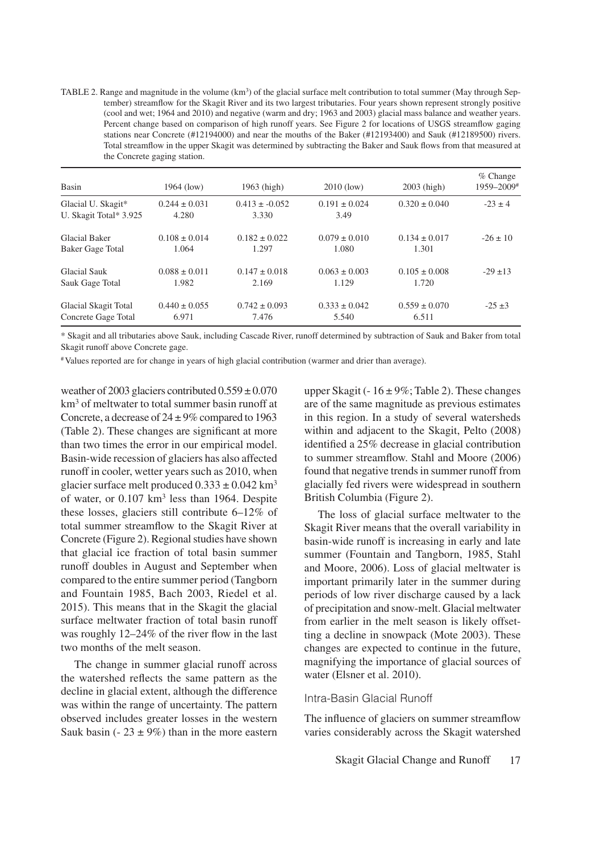TABLE 2. Range and magnitude in the volume  $(km<sup>3</sup>)$  of the glacial surface melt contribution to total summer (May through September) streamflow for the Skagit River and its two largest tributaries. Four years shown represent strongly positive (cool and wet; 1964 and 2010) and negative (warm and dry; 1963 and 2003) glacial mass balance and weather years. Percent change based on comparison of high runoff years. See Figure 2 for locations of USGS streamflow gaging stations near Concrete (#12194000) and near the mouths of the Baker (#12193400) and Sauk (#12189500) rivers. Total streamflow in the upper Skagit was determined by subtracting the Baker and Sauk flows from that measured at the Concrete gaging station.

| Basin                                        | 1964 (low)                 | $1963$ (high)              | $2010$ (low)              | 2003 (high)       | $%$ Change<br>1959-2009# |
|----------------------------------------------|----------------------------|----------------------------|---------------------------|-------------------|--------------------------|
| Glacial U. Skagit*<br>U. Skagit Total* 3.925 | $0.244 \pm 0.031$<br>4.280 | $0.413 \pm 0.052$<br>3.330 | $0.191 \pm 0.024$<br>3.49 | $0.320 \pm 0.040$ | $-23 \pm 4$              |
| <b>Glacial Baker</b>                         | $0.108 \pm 0.014$          | $0.182 \pm 0.022$          | $0.079 \pm 0.010$         | $0.134 \pm 0.017$ | $-26 \pm 10$             |
| Baker Gage Total                             | 1.064                      | 1.297                      | 1.080                     | 1.301             |                          |
| Glacial Sauk                                 | $0.088 \pm 0.011$          | $0.147 \pm 0.018$          | $0.063 \pm 0.003$         | $0.105 \pm 0.008$ | $-29 \pm 13$             |
| Sauk Gage Total                              | 1.982                      | 2.169                      | 1.129                     | 1.720             |                          |
| Glacial Skagit Total                         | $0.440 \pm 0.055$          | $0.742 \pm 0.093$          | $0.333 \pm 0.042$         | $0.559 \pm 0.070$ | $-25 \pm 3$              |
| Concrete Gage Total                          | 6.971                      | 7.476                      | 5.540                     | 6.511             |                          |

\* Skagit and all tributaries above Sauk, including Cascade River, runoff determined by subtraction of Sauk and Baker from total Skagit runoff above Concrete gage.

#Values reported are for change in years of high glacial contribution (warmer and drier than average).

weather of 2003 glaciers contributed  $0.559 \pm 0.070$ km<sup>3</sup> of meltwater to total summer basin runoff at Concrete, a decrease of  $24 \pm 9\%$  compared to 1963 (Table 2). These changes are significant at more than two times the error in our empirical model. Basin-wide recession of glaciers has also affected runoff in cooler, wetter years such as 2010, when glacier surface melt produced  $0.333 \pm 0.042$  km<sup>3</sup> of water, or 0.107 km<sup>3</sup> less than 1964. Despite these losses, glaciers still contribute 6–12% of total summer streamflow to the Skagit River at Concrete (Figure 2). Regional studies have shown that glacial ice fraction of total basin summer runoff doubles in August and September when compared to the entire summer period (Tangborn and Fountain 1985, Bach 2003, Riedel et al. 2015). This means that in the Skagit the glacial surface meltwater fraction of total basin runoff was roughly 12–24% of the river flow in the last two months of the melt season.

The change in summer glacial runoff across the watershed reflects the same pattern as the decline in glacial extent, although the difference was within the range of uncertainty. The pattern observed includes greater losses in the western Sauk basin (-  $23 \pm 9\%$ ) than in the more eastern upper Skagit ( $-16 \pm 9\%$ ; Table 2). These changes are of the same magnitude as previous estimates in this region. In a study of several watersheds within and adjacent to the Skagit, Pelto (2008) identified a 25% decrease in glacial contribution to summer streamflow. Stahl and Moore (2006) found that negative trends in summer runoff from glacially fed rivers were widespread in southern British Columbia (Figure 2).

The loss of glacial surface meltwater to the Skagit River means that the overall variability in basin-wide runoff is increasing in early and late summer (Fountain and Tangborn, 1985, Stahl and Moore, 2006). Loss of glacial meltwater is important primarily later in the summer during periods of low river discharge caused by a lack of precipitation and snow-melt. Glacial meltwater from earlier in the melt season is likely offsetting a decline in snowpack (Mote 2003). These changes are expected to continue in the future, magnifying the importance of glacial sources of water (Elsner et al. 2010).

#### Intra-Basin Glacial Runoff

The influence of glaciers on summer streamflow varies considerably across the Skagit watershed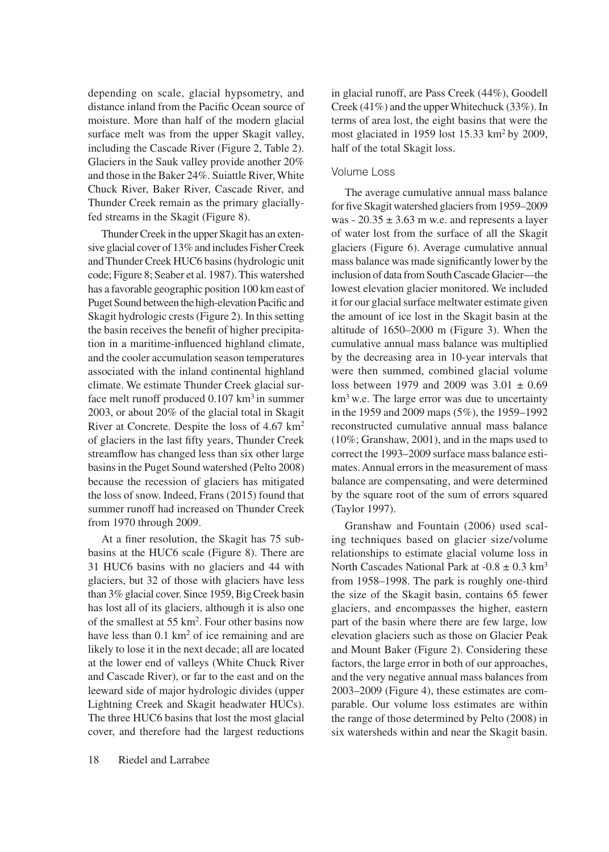depending on scale, glacial hypsometry, and distance inland from the Pacific Ocean source of moisture. More than half of the modern glacial surface melt was from the upper Skagit valley, including the Cascade River (Figure 2, Table 2). Glaciers in the Sauk valley provide another 20% and those in the Baker 24%. Suiattle River, White Chuck River, Baker River, Cascade River, and Thunder Creek remain as the primary glaciallyfed streams in the Skagit (Figure 8).

Thunder Creek in the upper Skagit has an extensive glacial cover of 13% and includes Fisher Creek and Thunder Creek HUC6 basins (hydrologic unit code; Figure 8; Seaber et al. 1987). This watershed has a favorable geographic position 100 km east of Puget Sound between the high-elevation Pacific and Skagit hydrologic crests (Figure 2). In this setting the basin receives the benefit of higher precipitation in a maritime-influenced highland climate, and the cooler accumulation season temperatures associated with the inland continental highland climate. We estimate Thunder Creek glacial surface melt runoff produced  $0.107 \text{ km}^3$  in summer 2003, or about 20% of the glacial total in Skagit River at Concrete. Despite the loss of 4.67 km2 of glaciers in the last fifty years, Thunder Creek streamflow has changed less than six other large basins in the Puget Sound watershed (Pelto 2008) because the recession of glaciers has mitigated the loss of snow. Indeed, Frans (2015) found that summer runoff had increased on Thunder Creek from 1970 through 2009.

At a finer resolution, the Skagit has 75 subbasins at the HUC6 scale (Figure 8). There are 31 HUC6 basins with no glaciers and 44 with glaciers, but 32 of those with glaciers have less than 3% glacial cover. Since 1959, Big Creek basin has lost all of its glaciers, although it is also one of the smallest at 55 km2. Four other basins now have less than 0.1 km<sup>2</sup> of ice remaining and are likely to lose it in the next decade; all are located at the lower end of valleys (White Chuck River and Cascade River), or far to the east and on the leeward side of major hydrologic divides (upper Lightning Creek and Skagit headwater HUCs). The three HUC6 basins that lost the most glacial cover, and therefore had the largest reductions

in glacial runoff, are Pass Creek (44%), Goodell Creek (41%) and the upper Whitechuck (33%). In terms of area lost, the eight basins that were the most glaciated in 1959 lost 15.33 km2 by 2009, half of the total Skagit loss.

### Volume Loss

The average cumulative annual mass balance for five Skagit watershed glaciers from 1959–2009 was -  $20.35 \pm 3.63$  m w.e. and represents a layer of water lost from the surface of all the Skagit glaciers (Figure 6). Average cumulative annual mass balance was made significantly lower by the inclusion of data from South Cascade Glacier—the lowest elevation glacier monitored. We included it for our glacial surface meltwater estimate given the amount of ice lost in the Skagit basin at the altitude of 1650–2000 m (Figure 3). When the cumulative annual mass balance was multiplied by the decreasing area in 10-year intervals that were then summed, combined glacial volume loss between 1979 and 2009 was  $3.01 \pm 0.69$ km3 w.e. The large error was due to uncertainty in the 1959 and 2009 maps (5%), the 1959–1992 reconstructed cumulative annual mass balance (10%; Granshaw, 2001), and in the maps used to correct the 1993–2009 surface mass balance estimates. Annual errors in the measurement of mass balance are compensating, and were determined by the square root of the sum of errors squared (Taylor 1997).

Granshaw and Fountain (2006) used scaling techniques based on glacier size/volume relationships to estimate glacial volume loss in North Cascades National Park at  $-0.8 \pm 0.3$  km<sup>3</sup> from 1958–1998. The park is roughly one-third the size of the Skagit basin, contains 65 fewer glaciers, and encompasses the higher, eastern part of the basin where there are few large, low elevation glaciers such as those on Glacier Peak and Mount Baker (Figure 2). Considering these factors, the large error in both of our approaches, and the very negative annual mass balances from 2003–2009 (Figure 4), these estimates are comparable. Our volume loss estimates are within the range of those determined by Pelto (2008) in six watersheds within and near the Skagit basin.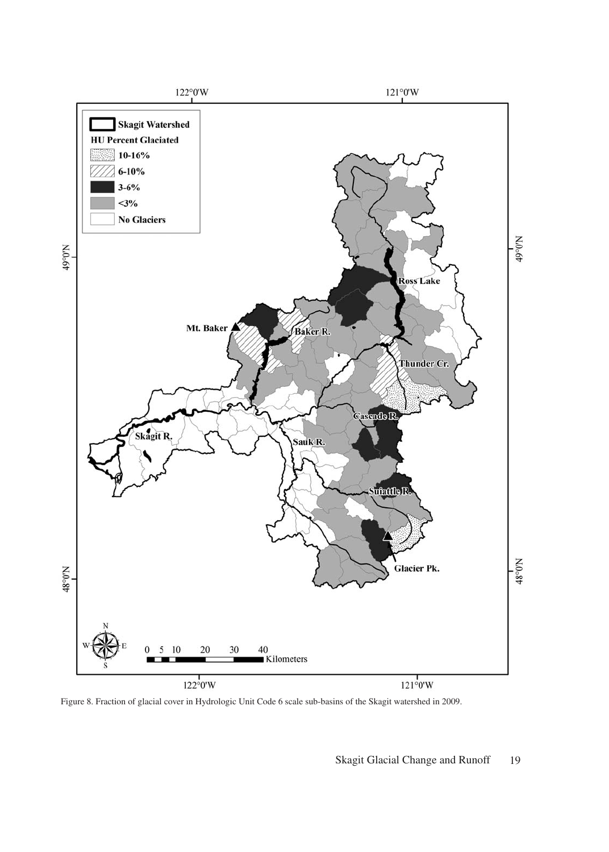

Figure 8. Fraction of glacial cover in Hydrologic Unit Code 6 scale sub-basins of the Skagit watershed in 2009.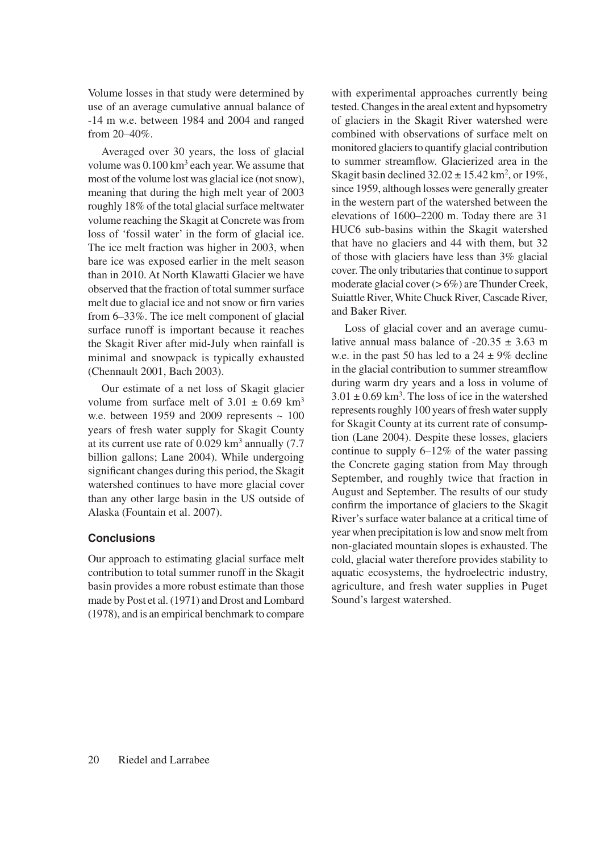Volume losses in that study were determined by use of an average cumulative annual balance of -14 m w.e. between 1984 and 2004 and ranged from 20–40%.

Averaged over 30 years, the loss of glacial volume was  $0.100 \mathrm{km}^3$  each year. We assume that most of the volume lost was glacial ice (not snow), meaning that during the high melt year of 2003 roughly 18% of the total glacial surface meltwater volume reaching the Skagit at Concrete was from loss of 'fossil water' in the form of glacial ice. The ice melt fraction was higher in 2003, when bare ice was exposed earlier in the melt season than in 2010. At North Klawatti Glacier we have observed that the fraction of total summer surface melt due to glacial ice and not snow or firn varies from 6–33%. The ice melt component of glacial surface runoff is important because it reaches the Skagit River after mid-July when rainfall is minimal and snowpack is typically exhausted (Chennault 2001, Bach 2003).

Our estimate of a net loss of Skagit glacier volume from surface melt of  $3.01 \pm 0.69$  km<sup>3</sup> w.e. between 1959 and 2009 represents  $\sim 100$ years of fresh water supply for Skagit County at its current use rate of  $0.029 \text{ km}^3$  annually (7.7) billion gallons; Lane 2004). While undergoing significant changes during this period, the Skagit watershed continues to have more glacial cover than any other large basin in the US outside of Alaska (Fountain et al. 2007).

# **Conclusions**

Our approach to estimating glacial surface melt contribution to total summer runoff in the Skagit basin provides a more robust estimate than those made by Post et al. (1971) and Drost and Lombard (1978), and is an empirical benchmark to compare with experimental approaches currently being tested. Changes in the areal extent and hypsometry of glaciers in the Skagit River watershed were combined with observations of surface melt on monitored glaciers to quantify glacial contribution to summer streamflow. Glacierized area in the Skagit basin declined  $32.02 \pm 15.42$  km<sup>2</sup>, or 19%, since 1959, although losses were generally greater in the western part of the watershed between the elevations of 1600–2200 m. Today there are 31 HUC6 sub-basins within the Skagit watershed that have no glaciers and 44 with them, but 32 of those with glaciers have less than 3% glacial cover. The only tributaries that continue to support moderate glacial cover (> 6%) are Thunder Creek, Suiattle River, White Chuck River, Cascade River, and Baker River.

Loss of glacial cover and an average cumulative annual mass balance of  $-20.35 \pm 3.63$  m w.e. in the past 50 has led to a  $24 \pm 9\%$  decline in the glacial contribution to summer streamflow during warm dry years and a loss in volume of  $3.01 \pm 0.69$  km<sup>3</sup>. The loss of ice in the watershed represents roughly 100 years of fresh water supply for Skagit County at its current rate of consumption (Lane 2004). Despite these losses, glaciers continue to supply 6–12% of the water passing the Concrete gaging station from May through September, and roughly twice that fraction in August and September. The results of our study confirm the importance of glaciers to the Skagit River's surface water balance at a critical time of year when precipitation is low and snow melt from non-glaciated mountain slopes is exhausted. The cold, glacial water therefore provides stability to aquatic ecosystems, the hydroelectric industry, agriculture, and fresh water supplies in Puget Sound's largest watershed.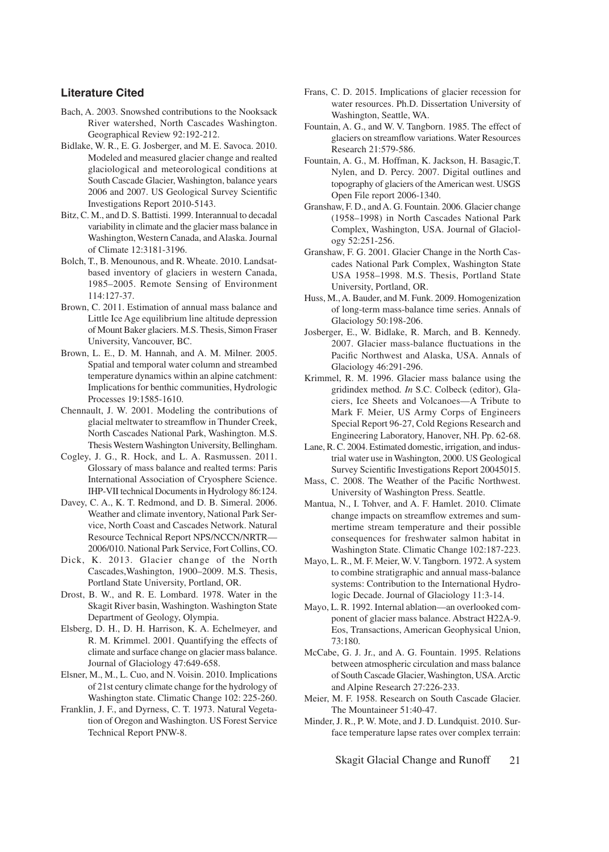#### **Literature Cited**

- Bach, A. 2003. Snowshed contributions to the Nooksack River watershed, North Cascades Washington. Geographical Review 92:192-212.
- Bidlake, W. R., E. G. Josberger, and M. E. Savoca. 2010. Modeled and measured glacier change and realted glaciological and meteorological conditions at South Cascade Glacier, Washington, balance years 2006 and 2007. US Geological Survey Scientific Investigations Report 2010-5143.
- Bitz, C. M., and D. S. Battisti. 1999. Interannual to decadal variability in climate and the glacier mass balance in Washington, Western Canada, and Alaska. Journal of Climate 12:3181-3196.
- Bolch, T., B. Menounous, and R. Wheate. 2010. Landsatbased inventory of glaciers in western Canada, 1985–2005. Remote Sensing of Environment 114:127-37.
- Brown, C. 2011. Estimation of annual mass balance and Little Ice Age equilibrium line altitude depression of Mount Baker glaciers. M.S. Thesis, Simon Fraser University, Vancouver, BC.
- Brown, L. E., D. M. Hannah, and A. M. Milner. 2005. Spatial and temporal water column and streambed temperature dynamics within an alpine catchment: Implications for benthic communities, Hydrologic Processes 19:1585-1610.
- Chennault, J. W. 2001. Modeling the contributions of glacial meltwater to streamflow in Thunder Creek, North Cascades National Park, Washington. M.S. Thesis Western Washington University, Bellingham.
- Cogley, J. G., R. Hock, and L. A. Rasmussen. 2011. Glossary of mass balance and realted terms: Paris International Association of Cryosphere Science. IHP-VII technical Documents in Hydrology 86:124.
- Davey, C. A., K. T. Redmond, and D. B. Simeral. 2006. Weather and climate inventory, National Park Service, North Coast and Cascades Network. Natural Resource Technical Report NPS/NCCN/NRTR— 2006/010. National Park Service, Fort Collins, CO.
- Dick, K. 2013. Glacier change of the North Cascades,Washington, 1900–2009. M.S. Thesis, Portland State University, Portland, OR.
- Drost, B. W., and R. E. Lombard. 1978. Water in the Skagit River basin, Washington. Washington State Department of Geology, Olympia.
- Elsberg, D. H., D. H. Harrison, K. A. Echelmeyer, and R. M. Krimmel. 2001. Quantifying the effects of climate and surface change on glacier mass balance. Journal of Glaciology 47:649-658.
- Elsner, M., M., L. Cuo, and N. Voisin. 2010. Implications of 21st century climate change for the hydrology of Washington state. Climatic Change 102: 225-260.
- Franklin, J. F., and Dyrness, C. T. 1973. Natural Vegetation of Oregon and Washington. US Forest Service Technical Report PNW-8.
- Frans, C. D. 2015. Implications of glacier recession for water resources. Ph.D. Dissertation University of Washington, Seattle, WA.
- Fountain, A. G., and W. V. Tangborn. 1985. The effect of glaciers on streamflow variations. Water Resources Research 21:579-586.
- Fountain, A. G., M. Hoffman, K. Jackson, H. Basagic,T. Nylen, and D. Percy. 2007. Digital outlines and topography of glaciers of the American west. USGS Open File report 2006-1340.
- Granshaw, F. D., and A. G. Fountain. 2006. Glacier change (1958–1998) in North Cascades National Park Complex, Washington, USA. Journal of Glaciology 52:251-256.
- Granshaw, F. G. 2001. Glacier Change in the North Cascades National Park Complex, Washington State USA 1958–1998. M.S. Thesis, Portland State University, Portland, OR.
- Huss, M., A. Bauder, and M. Funk. 2009. Homogenization of long-term mass-balance time series. Annals of Glaciology 50:198-206.
- Josberger, E., W. Bidlake, R. March, and B. Kennedy. 2007. Glacier mass-balance fluctuations in the Pacific Northwest and Alaska, USA. Annals of Glaciology 46:291-296.
- Krimmel, R. M. 1996. Glacier mass balance using the gridindex method*. In* S.C. Colbeck (editor), Glaciers, Ice Sheets and Volcanoes—A Tribute to Mark F. Meier, US Army Corps of Engineers Special Report 96-27, Cold Regions Research and Engineering Laboratory, Hanover, NH. Pp. 62-68.
- Lane, R. C. 2004. Estimated domestic, irrigation, and industrial water use in Washington, 2000. US Geological Survey Scientific Investigations Report 20045015.
- Mass, C. 2008. The Weather of the Pacific Northwest. University of Washington Press. Seattle.
- Mantua, N., I. Tohver, and A. F. Hamlet. 2010. Climate change impacts on streamflow extremes and summertime stream temperature and their possible consequences for freshwater salmon habitat in Washington State. Climatic Change 102:187-223.
- Mayo, L. R., M. F. Meier, W. V. Tangborn. 1972. A system to combine stratigraphic and annual mass-balance systems: Contribution to the International Hydrologic Decade. Journal of Glaciology 11:3-14.
- Mayo, L. R. 1992. Internal ablation—an overlooked component of glacier mass balance. Abstract H22A-9. Eos, Transactions, American Geophysical Union, 73:180.
- McCabe, G. J. Jr., and A. G. Fountain. 1995. Relations between atmospheric circulation and mass balance of South Cascade Glacier, Washington, USA. Arctic and Alpine Research 27:226-233.
- Meier, M. F. 1958. Research on South Cascade Glacier. The Mountaineer 51:40-47.
- Minder, J. R., P. W. Mote, and J. D. Lundquist. 2010. Surface temperature lapse rates over complex terrain:

Skagit Glacial Change and Runoff 21